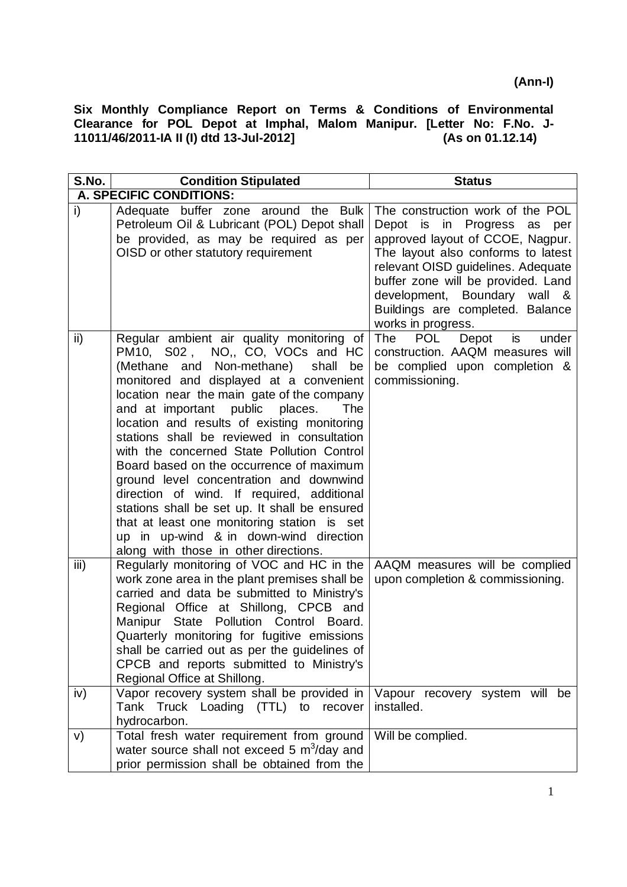| S.No.                     | <b>Condition Stipulated</b>                                                                                                                                                                                                                                                                                                                                                                                                                                                                                                                                                                                                                                                                                                              | <b>Status</b>                                                                                                                                                                                                                                                                                                   |
|---------------------------|------------------------------------------------------------------------------------------------------------------------------------------------------------------------------------------------------------------------------------------------------------------------------------------------------------------------------------------------------------------------------------------------------------------------------------------------------------------------------------------------------------------------------------------------------------------------------------------------------------------------------------------------------------------------------------------------------------------------------------------|-----------------------------------------------------------------------------------------------------------------------------------------------------------------------------------------------------------------------------------------------------------------------------------------------------------------|
|                           | A. SPECIFIC CONDITIONS:                                                                                                                                                                                                                                                                                                                                                                                                                                                                                                                                                                                                                                                                                                                  |                                                                                                                                                                                                                                                                                                                 |
| i)                        | Adequate buffer zone around the Bulk<br>Petroleum Oil & Lubricant (POL) Depot shall<br>be provided, as may be required as per<br>OISD or other statutory requirement                                                                                                                                                                                                                                                                                                                                                                                                                                                                                                                                                                     | The construction work of the POL<br>Depot is in Progress as per<br>approved layout of CCOE, Nagpur.<br>The layout also conforms to latest<br>relevant OISD guidelines. Adequate<br>buffer zone will be provided. Land<br>development, Boundary wall &<br>Buildings are completed. Balance<br>works in progress. |
| ii)                       | Regular ambient air quality monitoring of<br>PM10, S02, NO,, CO, VOCs and HC<br>(Methane<br>and Non-methane)<br>shall<br>be<br>monitored and displayed at a convenient<br>location near the main gate of the company<br>and at important public places.<br><b>The</b><br>location and results of existing monitoring<br>stations shall be reviewed in consultation<br>with the concerned State Pollution Control<br>Board based on the occurrence of maximum<br>ground level concentration and downwind<br>direction of wind. If required, additional<br>stations shall be set up. It shall be ensured<br>that at least one monitoring station is set<br>up in up-wind & in down-wind direction<br>along with those in other directions. | POL<br>The<br>Depot<br>is<br>under<br>construction. AAQM measures will<br>be complied upon completion &<br>commissioning.                                                                                                                                                                                       |
| $\overline{\mathsf{iii}}$ | Regularly monitoring of VOC and HC in the<br>work zone area in the plant premises shall be<br>carried and data be submitted to Ministry's<br>Regional Office at Shillong, CPCB and<br>Manipur State Pollution Control Board.<br>Quarterly monitoring for fugitive emissions<br>shall be carried out as per the guidelines of<br>CPCB and reports submitted to Ministry's<br>Regional Office at Shillong.                                                                                                                                                                                                                                                                                                                                 | AAQM measures will be complied<br>upon completion & commissioning.                                                                                                                                                                                                                                              |
| iv)                       | Vapor recovery system shall be provided in<br>Tank Truck Loading (TTL) to<br>recover<br>hydrocarbon.                                                                                                                                                                                                                                                                                                                                                                                                                                                                                                                                                                                                                                     | Vapour recovery system will be<br>installed.                                                                                                                                                                                                                                                                    |
| V)                        | Total fresh water requirement from ground<br>water source shall not exceed 5 $m^3$ /day and<br>prior permission shall be obtained from the                                                                                                                                                                                                                                                                                                                                                                                                                                                                                                                                                                                               | Will be complied.                                                                                                                                                                                                                                                                                               |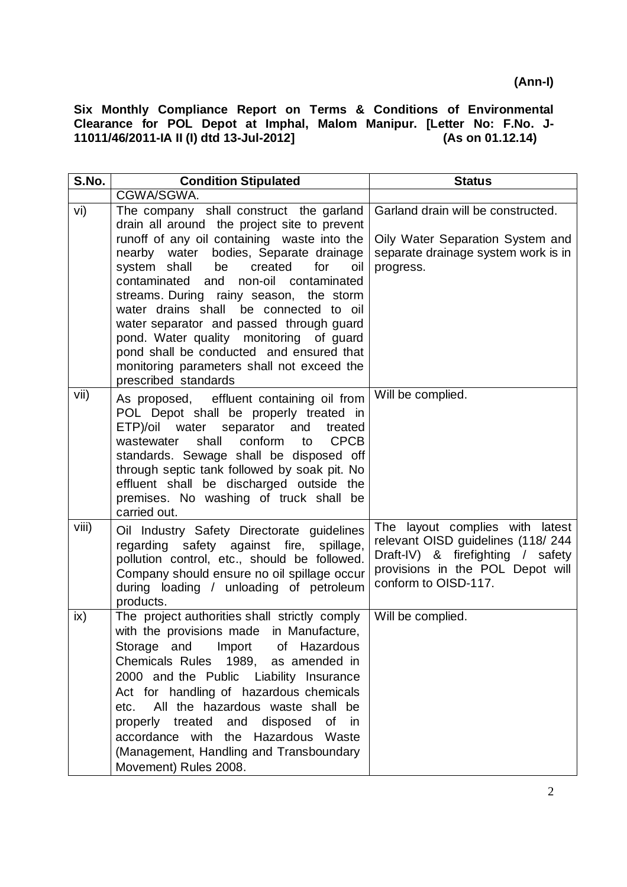| S.No.         | <b>Condition Stipulated</b>                                                                                                                                                                                                                                                                                                                                                                                                                                                    | <b>Status</b>                                                                                                                                                         |
|---------------|--------------------------------------------------------------------------------------------------------------------------------------------------------------------------------------------------------------------------------------------------------------------------------------------------------------------------------------------------------------------------------------------------------------------------------------------------------------------------------|-----------------------------------------------------------------------------------------------------------------------------------------------------------------------|
|               | CGWA/SGWA.                                                                                                                                                                                                                                                                                                                                                                                                                                                                     |                                                                                                                                                                       |
| vi)           | The company shall construct the garland<br>drain all around the project site to prevent                                                                                                                                                                                                                                                                                                                                                                                        | Garland drain will be constructed.                                                                                                                                    |
|               | runoff of any oil containing waste into the<br>nearby water bodies, Separate drainage<br>system shall<br>be<br>created<br>for<br>oil<br>contaminated and<br>non-oil contaminated<br>streams. During rainy season, the storm<br>water drains shall be connected to oil<br>water separator and passed through guard<br>pond. Water quality monitoring of guard<br>pond shall be conducted and ensured that<br>monitoring parameters shall not exceed the<br>prescribed standards | Oily Water Separation System and<br>separate drainage system work is in<br>progress.                                                                                  |
| vii)          | As proposed, effluent containing oil from<br>POL Depot shall be properly treated in<br>ETP)/oil water separator and<br>treated<br><b>CPCB</b><br>shall<br>conform<br>wastewater<br>to<br>standards. Sewage shall be disposed off<br>through septic tank followed by soak pit. No<br>effluent shall be discharged outside the<br>premises. No washing of truck shall be<br>carried out.                                                                                         | Will be complied.                                                                                                                                                     |
| viii)         | Oil Industry Safety Directorate guidelines<br>regarding safety against fire, spillage,<br>pollution control, etc., should be followed.<br>Company should ensure no oil spillage occur<br>during loading / unloading of petroleum<br>products.                                                                                                                                                                                                                                  | The layout complies with latest<br>relevant OISD guidelines (118/244<br>Draft-IV) & firefighting / safety<br>provisions in the POL Depot will<br>conform to OISD-117. |
| $i\mathsf{x}$ | The project authorities shall strictly comply<br>with the provisions made in Manufacture,<br>Storage and Import of Hazardous<br>Chemicals Rules 1989, as amended in<br>2000 and the Public Liability Insurance<br>Act for handling of hazardous chemicals<br>All the hazardous waste shall be<br>etc.<br>properly treated and disposed of<br>in<br>accordance with the Hazardous Waste<br>(Management, Handling and Transboundary<br>Movement) Rules 2008.                     | Will be complied.                                                                                                                                                     |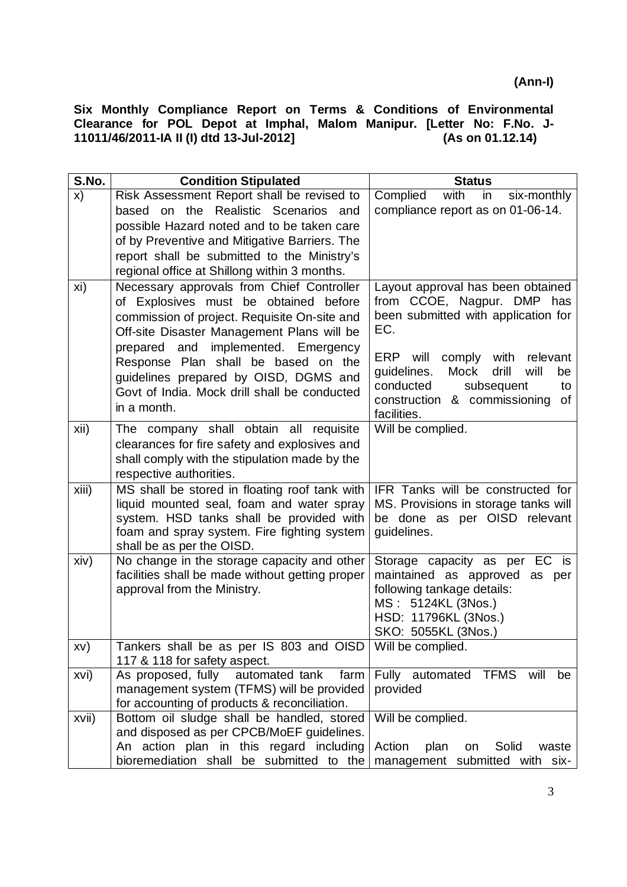| S.No. | <b>Condition Stipulated</b>                                                                                                                                                                                                | <b>Status</b>                                                                                                                                                              |
|-------|----------------------------------------------------------------------------------------------------------------------------------------------------------------------------------------------------------------------------|----------------------------------------------------------------------------------------------------------------------------------------------------------------------------|
| x)    | Risk Assessment Report shall be revised to                                                                                                                                                                                 | Complied<br>with<br>six-monthly<br>in                                                                                                                                      |
|       | based on the Realistic Scenarios and                                                                                                                                                                                       | compliance report as on 01-06-14.                                                                                                                                          |
|       | possible Hazard noted and to be taken care                                                                                                                                                                                 |                                                                                                                                                                            |
|       | of by Preventive and Mitigative Barriers. The                                                                                                                                                                              |                                                                                                                                                                            |
|       | report shall be submitted to the Ministry's                                                                                                                                                                                |                                                                                                                                                                            |
|       | regional office at Shillong within 3 months.                                                                                                                                                                               |                                                                                                                                                                            |
| xi)   | Necessary approvals from Chief Controller<br>of Explosives must be obtained before<br>commission of project. Requisite On-site and<br>Off-site Disaster Management Plans will be<br>implemented. Emergency<br>prepared and | Layout approval has been obtained<br>from CCOE, Nagpur. DMP has<br>been submitted with application for<br>EC.                                                              |
|       | Response Plan shall be based on the<br>guidelines prepared by OISD, DGMS and<br>Govt of India. Mock drill shall be conducted<br>in a month.                                                                                | comply with<br>ERP<br>will<br>relevant<br>guidelines.<br>Mock<br>drill<br>will<br>be<br>conducted<br>subsequent<br>to<br>construction & commissioning<br>of<br>facilities. |
| xii)  | The company shall obtain all requisite<br>clearances for fire safety and explosives and<br>shall comply with the stipulation made by the<br>respective authorities.                                                        | Will be complied.                                                                                                                                                          |
| xiii) | MS shall be stored in floating roof tank with<br>liquid mounted seal, foam and water spray<br>system. HSD tanks shall be provided with<br>foam and spray system. Fire fighting system<br>shall be as per the OISD.         | IFR Tanks will be constructed for<br>MS. Provisions in storage tanks will<br>be done as per OISD relevant<br>guidelines.                                                   |
| xiv)  | No change in the storage capacity and other<br>facilities shall be made without getting proper<br>approval from the Ministry.                                                                                              | Storage capacity as per EC is<br>maintained as approved as per<br>following tankage details:<br>MS: 5124KL (3Nos.)<br>HSD: 11796KL (3Nos.)<br>SKO: 5055KL (3Nos.)          |
| XV)   | Tankers shall be as per IS 803 and OISD Will be complied.<br>117 & 118 for safety aspect.                                                                                                                                  |                                                                                                                                                                            |
| xvi)  | automated tank<br>As proposed, fully<br>farm<br>management system (TFMS) will be provided<br>for accounting of products & reconciliation.                                                                                  | Fully automated<br><b>TFMS</b><br>will<br>be<br>provided                                                                                                                   |
| xvii) | Bottom oil sludge shall be handled, stored<br>and disposed as per CPCB/MoEF guidelines.<br>An action plan in this regard including                                                                                         | Will be complied.<br>Action<br>plan<br>Solid<br>waste<br>on                                                                                                                |
|       | bioremediation shall be submitted to the                                                                                                                                                                                   | management submitted with six-                                                                                                                                             |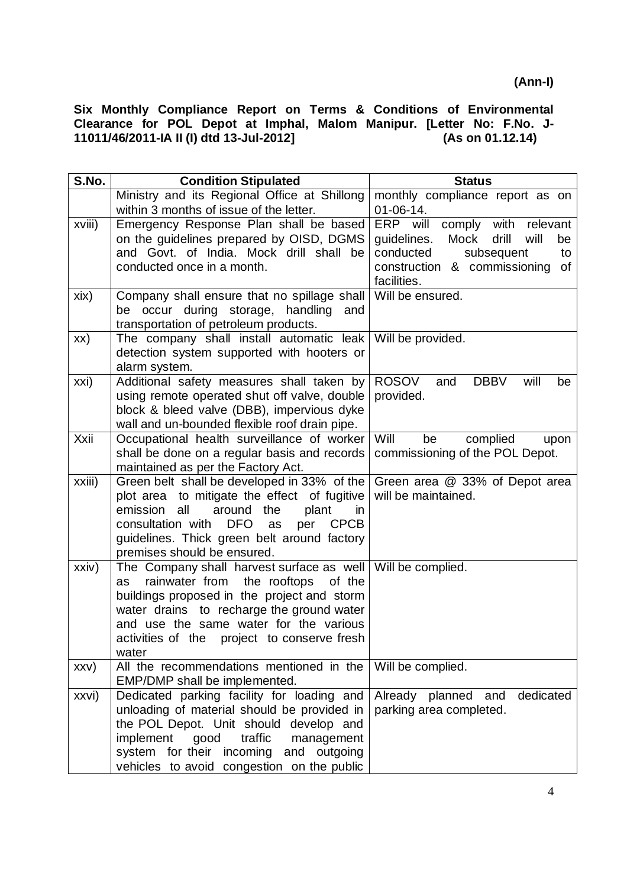| S.No.                    | <b>Condition Stipulated</b>                                                                                                                                                                                                                                                                                                                                                                                                                                                                                                                                                                                                                                                                                                                                                                                                    | <b>Status</b>                                                                                                                             |
|--------------------------|--------------------------------------------------------------------------------------------------------------------------------------------------------------------------------------------------------------------------------------------------------------------------------------------------------------------------------------------------------------------------------------------------------------------------------------------------------------------------------------------------------------------------------------------------------------------------------------------------------------------------------------------------------------------------------------------------------------------------------------------------------------------------------------------------------------------------------|-------------------------------------------------------------------------------------------------------------------------------------------|
|                          | Ministry and its Regional Office at Shillong                                                                                                                                                                                                                                                                                                                                                                                                                                                                                                                                                                                                                                                                                                                                                                                   | monthly compliance report as on                                                                                                           |
|                          | within 3 months of issue of the letter.                                                                                                                                                                                                                                                                                                                                                                                                                                                                                                                                                                                                                                                                                                                                                                                        | $01 - 06 - 14.$                                                                                                                           |
| xviii)                   | Emergency Response Plan shall be based                                                                                                                                                                                                                                                                                                                                                                                                                                                                                                                                                                                                                                                                                                                                                                                         | ERP will<br>comply with<br>relevant                                                                                                       |
|                          | on the guidelines prepared by OISD, DGMS                                                                                                                                                                                                                                                                                                                                                                                                                                                                                                                                                                                                                                                                                                                                                                                       | guidelines.<br>Mock<br>drill<br>will<br>be                                                                                                |
|                          | and Govt. of India. Mock drill shall be                                                                                                                                                                                                                                                                                                                                                                                                                                                                                                                                                                                                                                                                                                                                                                                        | conducted<br>subsequent<br>to                                                                                                             |
|                          | conducted once in a month.                                                                                                                                                                                                                                                                                                                                                                                                                                                                                                                                                                                                                                                                                                                                                                                                     | construction & commissioning<br>of                                                                                                        |
|                          |                                                                                                                                                                                                                                                                                                                                                                                                                                                                                                                                                                                                                                                                                                                                                                                                                                | facilities.                                                                                                                               |
| xix)                     | Company shall ensure that no spillage shall                                                                                                                                                                                                                                                                                                                                                                                                                                                                                                                                                                                                                                                                                                                                                                                    | Will be ensured.                                                                                                                          |
|                          | be occur during storage, handling<br>and                                                                                                                                                                                                                                                                                                                                                                                                                                                                                                                                                                                                                                                                                                                                                                                       |                                                                                                                                           |
|                          | transportation of petroleum products.<br>The company shall install automatic leak                                                                                                                                                                                                                                                                                                                                                                                                                                                                                                                                                                                                                                                                                                                                              | Will be provided.                                                                                                                         |
| XX)                      | detection system supported with hooters or                                                                                                                                                                                                                                                                                                                                                                                                                                                                                                                                                                                                                                                                                                                                                                                     |                                                                                                                                           |
|                          | alarm system.                                                                                                                                                                                                                                                                                                                                                                                                                                                                                                                                                                                                                                                                                                                                                                                                                  |                                                                                                                                           |
| xxi)                     | Additional safety measures shall taken by                                                                                                                                                                                                                                                                                                                                                                                                                                                                                                                                                                                                                                                                                                                                                                                      | ROSOV<br><b>DBBV</b><br>and<br>will<br>be                                                                                                 |
|                          | using remote operated shut off valve, double                                                                                                                                                                                                                                                                                                                                                                                                                                                                                                                                                                                                                                                                                                                                                                                   | provided.                                                                                                                                 |
|                          | block & bleed valve (DBB), impervious dyke                                                                                                                                                                                                                                                                                                                                                                                                                                                                                                                                                                                                                                                                                                                                                                                     |                                                                                                                                           |
|                          | wall and un-bounded flexible roof drain pipe.                                                                                                                                                                                                                                                                                                                                                                                                                                                                                                                                                                                                                                                                                                                                                                                  |                                                                                                                                           |
| Xxii                     | Occupational health surveillance of worker                                                                                                                                                                                                                                                                                                                                                                                                                                                                                                                                                                                                                                                                                                                                                                                     | Will<br>be<br>complied<br>upon                                                                                                            |
|                          | shall be done on a regular basis and records                                                                                                                                                                                                                                                                                                                                                                                                                                                                                                                                                                                                                                                                                                                                                                                   | commissioning of the POL Depot.                                                                                                           |
|                          | maintained as per the Factory Act.                                                                                                                                                                                                                                                                                                                                                                                                                                                                                                                                                                                                                                                                                                                                                                                             |                                                                                                                                           |
|                          |                                                                                                                                                                                                                                                                                                                                                                                                                                                                                                                                                                                                                                                                                                                                                                                                                                |                                                                                                                                           |
|                          |                                                                                                                                                                                                                                                                                                                                                                                                                                                                                                                                                                                                                                                                                                                                                                                                                                |                                                                                                                                           |
|                          |                                                                                                                                                                                                                                                                                                                                                                                                                                                                                                                                                                                                                                                                                                                                                                                                                                |                                                                                                                                           |
|                          |                                                                                                                                                                                                                                                                                                                                                                                                                                                                                                                                                                                                                                                                                                                                                                                                                                |                                                                                                                                           |
|                          |                                                                                                                                                                                                                                                                                                                                                                                                                                                                                                                                                                                                                                                                                                                                                                                                                                |                                                                                                                                           |
|                          |                                                                                                                                                                                                                                                                                                                                                                                                                                                                                                                                                                                                                                                                                                                                                                                                                                |                                                                                                                                           |
|                          |                                                                                                                                                                                                                                                                                                                                                                                                                                                                                                                                                                                                                                                                                                                                                                                                                                |                                                                                                                                           |
|                          |                                                                                                                                                                                                                                                                                                                                                                                                                                                                                                                                                                                                                                                                                                                                                                                                                                |                                                                                                                                           |
|                          | water drains to recharge the ground water                                                                                                                                                                                                                                                                                                                                                                                                                                                                                                                                                                                                                                                                                                                                                                                      |                                                                                                                                           |
|                          | and use the same water for the various                                                                                                                                                                                                                                                                                                                                                                                                                                                                                                                                                                                                                                                                                                                                                                                         |                                                                                                                                           |
|                          | activities of the project to conserve fresh                                                                                                                                                                                                                                                                                                                                                                                                                                                                                                                                                                                                                                                                                                                                                                                    |                                                                                                                                           |
|                          | water                                                                                                                                                                                                                                                                                                                                                                                                                                                                                                                                                                                                                                                                                                                                                                                                                          |                                                                                                                                           |
| XXV)                     |                                                                                                                                                                                                                                                                                                                                                                                                                                                                                                                                                                                                                                                                                                                                                                                                                                |                                                                                                                                           |
|                          |                                                                                                                                                                                                                                                                                                                                                                                                                                                                                                                                                                                                                                                                                                                                                                                                                                |                                                                                                                                           |
|                          |                                                                                                                                                                                                                                                                                                                                                                                                                                                                                                                                                                                                                                                                                                                                                                                                                                |                                                                                                                                           |
|                          |                                                                                                                                                                                                                                                                                                                                                                                                                                                                                                                                                                                                                                                                                                                                                                                                                                |                                                                                                                                           |
|                          |                                                                                                                                                                                                                                                                                                                                                                                                                                                                                                                                                                                                                                                                                                                                                                                                                                |                                                                                                                                           |
|                          |                                                                                                                                                                                                                                                                                                                                                                                                                                                                                                                                                                                                                                                                                                                                                                                                                                |                                                                                                                                           |
|                          |                                                                                                                                                                                                                                                                                                                                                                                                                                                                                                                                                                                                                                                                                                                                                                                                                                |                                                                                                                                           |
| xxiii)<br>xxiv)<br>xxvi) | Green belt shall be developed in 33% of the<br>plot area to mitigate the effect of fugitive<br>emission<br>all<br>around<br>the<br>plant<br>in.<br>consultation with<br><b>DFO</b><br>per<br><b>CPCB</b><br>as<br>guidelines. Thick green belt around factory<br>premises should be ensured.<br>The Company shall harvest surface as well   Will be complied.<br>rainwater from<br>the rooftops<br>of the<br>as<br>buildings proposed in the project and storm<br>All the recommendations mentioned in the<br>EMP/DMP shall be implemented.<br>Dedicated parking facility for loading and<br>unloading of material should be provided in<br>the POL Depot. Unit should develop and<br>traffic<br>implement<br>good<br>management<br>system for their incoming<br>and<br>outgoing<br>vehicles to avoid congestion on the public | Green area @ 33% of Depot area<br>will be maintained.<br>Will be complied.<br>dedicated<br>Already planned and<br>parking area completed. |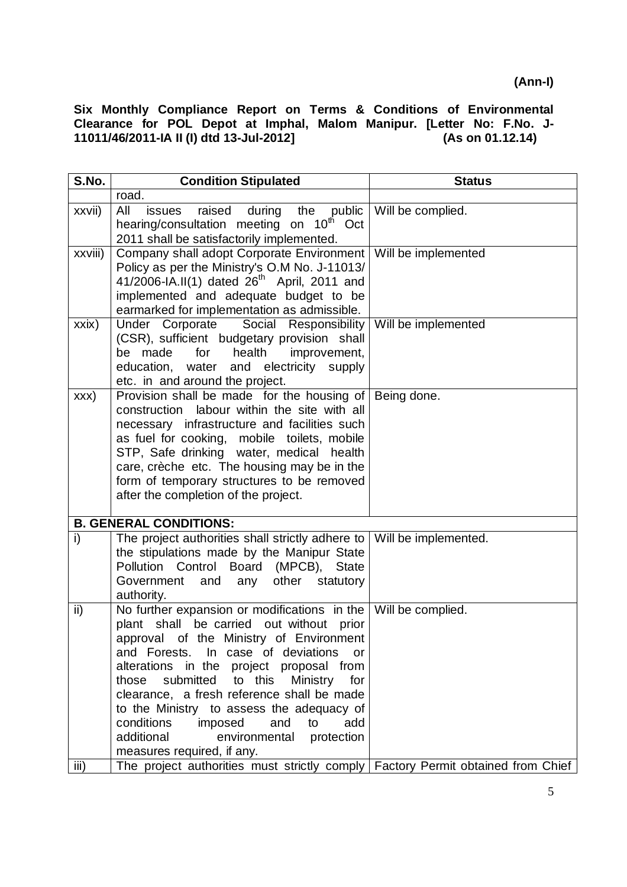| S.No.   | <b>Condition Stipulated</b>                                                                                                                                                                                                                                                                                                                                                                                                                                                                                                     | <b>Status</b>        |
|---------|---------------------------------------------------------------------------------------------------------------------------------------------------------------------------------------------------------------------------------------------------------------------------------------------------------------------------------------------------------------------------------------------------------------------------------------------------------------------------------------------------------------------------------|----------------------|
|         | road.                                                                                                                                                                                                                                                                                                                                                                                                                                                                                                                           |                      |
| xxvii)  | All<br>raised<br>during the public<br>issues<br>hearing/consultation meeting on 10 <sup>th</sup><br>Oct<br>2011 shall be satisfactorily implemented.                                                                                                                                                                                                                                                                                                                                                                            | Will be complied.    |
| xxviii) | Company shall adopt Corporate Environment<br>Policy as per the Ministry's O.M No. J-11013/<br>41/2006-IA.II(1) dated $26^{th}$ April, 2011 and<br>implemented and adequate budget to be<br>earmarked for implementation as admissible.                                                                                                                                                                                                                                                                                          | Will be implemented  |
| xxix)   | Under Corporate Social Responsibility<br>(CSR), sufficient budgetary provision shall<br>be made<br>for<br>health<br>improvement,<br>education, water and electricity supply<br>etc. in and around the project.                                                                                                                                                                                                                                                                                                                  | Will be implemented  |
| XXX)    | Provision shall be made for the housing of Being done.<br>labour within the site with all<br>construction<br>necessary infrastructure and facilities such<br>as fuel for cooking, mobile toilets, mobile<br>STP, Safe drinking water, medical health<br>care, crèche etc. The housing may be in the<br>form of temporary structures to be removed<br>after the completion of the project.                                                                                                                                       |                      |
|         | <b>B. GENERAL CONDITIONS:</b>                                                                                                                                                                                                                                                                                                                                                                                                                                                                                                   |                      |
| i)      | The project authorities shall strictly adhere to<br>the stipulations made by the Manipur State<br>Pollution Control<br><b>Board</b><br>(MPCB),<br><b>State</b><br>Government<br>and<br>other<br>statutory<br>any<br>authority.                                                                                                                                                                                                                                                                                                  | Will be implemented. |
| ii)     | No further expansion or modifications in the $\vert$ Will be complied.<br>be carried out without prior<br>plant shall<br>approval of the Ministry of Environment<br>and Forests. In case of deviations<br>or<br>alterations in the project proposal from<br>submitted<br>to this<br>Ministry<br>those<br>for<br>clearance, a fresh reference shall be made<br>to the Ministry to assess the adequacy of<br>conditions<br>imposed<br>and<br>to<br>add<br>additional<br>environmental<br>protection<br>measures required, if any. |                      |
| iii)    | The project authorities must strictly comply Factory Permit obtained from Chief                                                                                                                                                                                                                                                                                                                                                                                                                                                 |                      |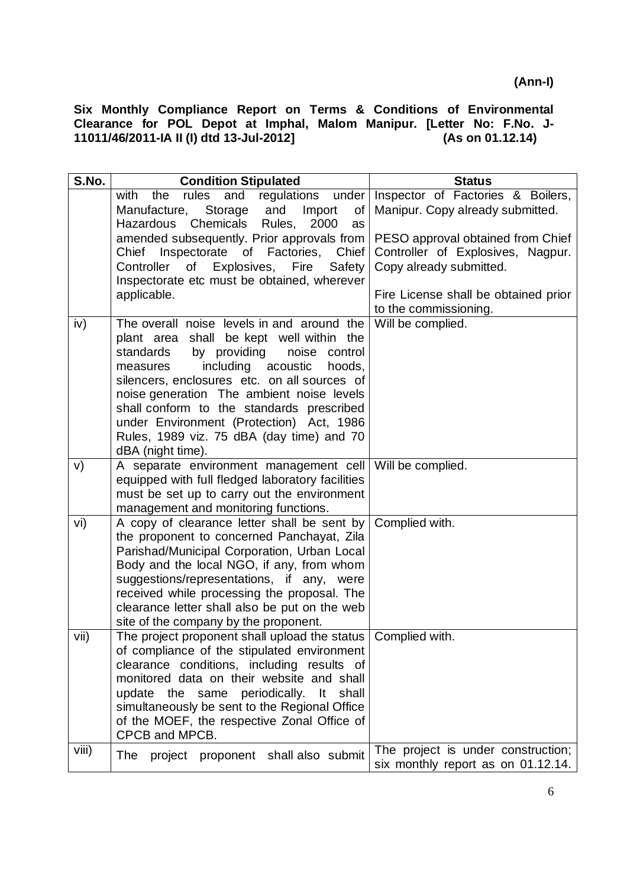| and<br>regulations<br>under<br>Inspector of Factories & Boilers,<br>rules<br>with<br>the  |  |
|-------------------------------------------------------------------------------------------|--|
|                                                                                           |  |
| and<br>Import<br>Manipur. Copy already submitted.<br>Manufacture,<br>Storage<br>of        |  |
| Chemicals<br>Rules,<br>2000<br>Hazardous<br>as                                            |  |
| amended subsequently. Prior approvals from<br>PESO approval obtained from Chief           |  |
| Inspectorate of Factories, Chief<br>Controller of Explosives, Nagpur.<br>Chief            |  |
| Controller of Explosives, Fire<br>Safety<br>Copy already submitted.                       |  |
| Inspectorate etc must be obtained, wherever                                               |  |
| applicable.<br>Fire License shall be obtained prior                                       |  |
| to the commissioning.                                                                     |  |
| The overall noise levels in and around the<br>Will be complied.<br>iv)                    |  |
| plant area shall be kept well within the<br>standards<br>by providing<br>noise<br>control |  |
| including acoustic<br>measures<br>hoods,                                                  |  |
| silencers, enclosures etc. on all sources of                                              |  |
| noise generation The ambient noise levels                                                 |  |
| shall conform to the standards prescribed                                                 |  |
| under Environment (Protection) Act, 1986                                                  |  |
| Rules, 1989 viz. 75 dBA (day time) and 70                                                 |  |
| dBA (night time).                                                                         |  |
| A separate environment management cell<br>Will be complied.<br>V)                         |  |
| equipped with full fledged laboratory facilities                                          |  |
| must be set up to carry out the environment                                               |  |
| management and monitoring functions.                                                      |  |
| A copy of clearance letter shall be sent by<br>Complied with.<br>vi)                      |  |
| the proponent to concerned Panchayat, Zila<br>Parishad/Municipal Corporation, Urban Local |  |
| Body and the local NGO, if any, from whom                                                 |  |
| suggestions/representations, if any, were                                                 |  |
| received while processing the proposal. The                                               |  |
| clearance letter shall also be put on the web                                             |  |
| site of the company by the proponent.                                                     |  |
| The project proponent shall upload the status<br>vii)<br>Complied with.                   |  |
| of compliance of the stipulated environment                                               |  |
| clearance conditions, including results of                                                |  |
| monitored data on their website and shall                                                 |  |
| periodically.<br>shall<br>update<br>the same<br>lt.                                       |  |
| simultaneously be sent to the Regional Office                                             |  |
| of the MOEF, the respective Zonal Office of<br>CPCB and MPCB.                             |  |
| viii)<br>The project is under construction;                                               |  |
| The project proponent shall also submit<br>six monthly report as on 01.12.14.             |  |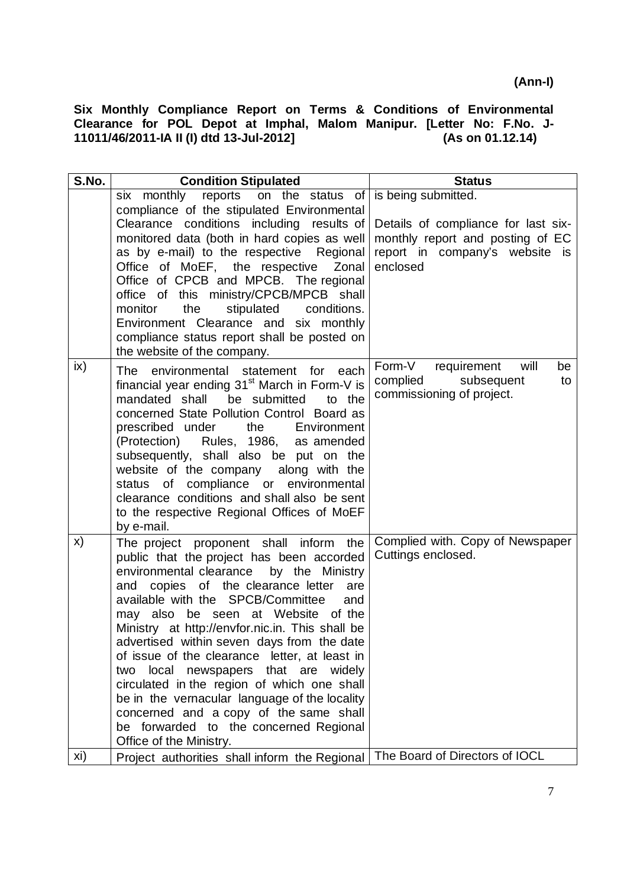| S.No. | <b>Condition Stipulated</b>                                                                                                                                                                                                                                                                                                                                                                                                                                                                                                                                                                                                                                                     | <b>Status</b>                                                                                                                                |
|-------|---------------------------------------------------------------------------------------------------------------------------------------------------------------------------------------------------------------------------------------------------------------------------------------------------------------------------------------------------------------------------------------------------------------------------------------------------------------------------------------------------------------------------------------------------------------------------------------------------------------------------------------------------------------------------------|----------------------------------------------------------------------------------------------------------------------------------------------|
|       | reports on the status of<br>six monthly<br>compliance of the stipulated Environmental<br>Clearance conditions including results of<br>monitored data (both in hard copies as well<br>as by e-mail) to the respective Regional<br>Office of MoEF, the respective Zonal<br>Office of CPCB and MPCB. The regional<br>office of this ministry/CPCB/MPCB shall<br>the<br>stipulated<br>monitor<br>conditions.<br>Environment Clearance and six monthly<br>compliance status report shall be posted on<br>the website of the company.                                                                                                                                                 | is being submitted.<br>Details of compliance for last six-<br>monthly report and posting of EC<br>report in company's website is<br>enclosed |
| ix)   | The environmental statement for<br>each<br>financial year ending 31 <sup>st</sup> March in Form-V is<br>mandated shall<br>be submitted<br>to the<br>concerned State Pollution Control Board as<br>prescribed under<br>Environment<br>the<br>(Protection) Rules, 1986, as amended<br>subsequently, shall also be put on the<br>website of the company along with the<br>compliance or environmental<br>status of<br>clearance conditions and shall also be sent<br>to the respective Regional Offices of MoEF<br>by e-mail.                                                                                                                                                      | Form-V<br>requirement<br>will<br>be<br>subsequent<br>complied<br>to<br>commissioning of project.                                             |
| X)    | The project proponent shall inform the<br>public that the project has been accorded<br>environmental clearance<br>by the Ministry<br>copies of the clearance letter<br>are<br>and<br>available with the SPCB/Committee<br>and<br>may also be seen at Website of the<br>Ministry at http://envfor.nic.in. This shall be<br>advertised within seven days from the date<br>of issue of the clearance letter, at least in<br>local newspapers that are widely<br>two<br>circulated in the region of which one shall<br>be in the vernacular language of the locality<br>concerned and a copy of the same shall<br>be forwarded to the concerned Regional<br>Office of the Ministry. | Complied with. Copy of Newspaper<br>Cuttings enclosed.                                                                                       |
| xi)   | Project authorities shall inform the Regional                                                                                                                                                                                                                                                                                                                                                                                                                                                                                                                                                                                                                                   | The Board of Directors of IOCL                                                                                                               |